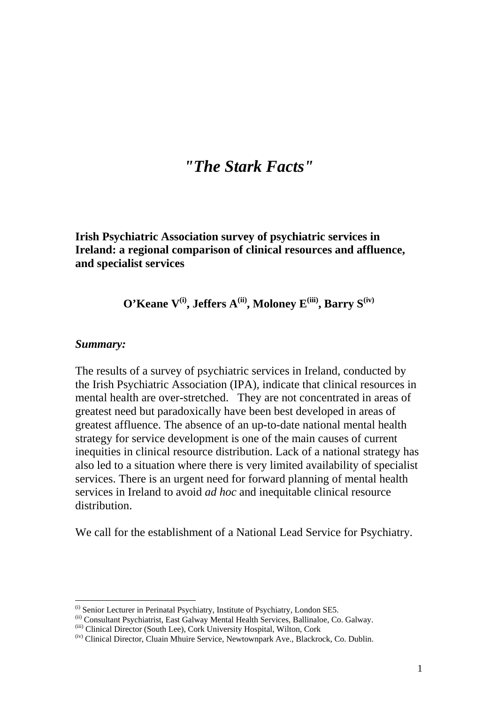# *"The Stark Facts"*

**Irish Psychiatric Association survey of psychiatric services in Ireland: a regional comparison of clinical resources and affluence, and specialist services** 

**O'Keane V<sup>(i)</sup>, Jeffers A<sup>(ii)</sup>, Moloney E<sup>(iii)</sup>, Barry S<sup>(iv)</sup>** 

### *Summary:*

1

The results of a survey of psychiatric services in Ireland, conducted by the Irish Psychiatric Association (IPA), indicate that clinical resources in mental health are over-stretched. They are not concentrated in areas of greatest need but paradoxically have been best developed in areas of greatest affluence. The absence of an up-to-date national mental health strategy for service development is one of the main causes of current inequities in clinical resource distribution. Lack of a national strategy has also led to a situation where there is very limited availability of specialist services. There is an urgent need for forward planning of mental health services in Ireland to avoid *ad hoc* and inequitable clinical resource distribution.

We call for the establishment of a National Lead Service for Psychiatry.

<sup>(</sup>i) Senior Lecturer in Perinatal Psychiatry, Institute of Psychiatry, London SE5.

<sup>(</sup>ii) Consultant Psychiatrist, East Galway Mental Health Services, Ballinaloe, Co. Galway.

<sup>(</sup>iii) Clinical Director (South Lee), Cork University Hospital, Wilton, Cork

<sup>(</sup>iv) Clinical Director, Cluain Mhuire Service, Newtownpark Ave., Blackrock, Co. Dublin.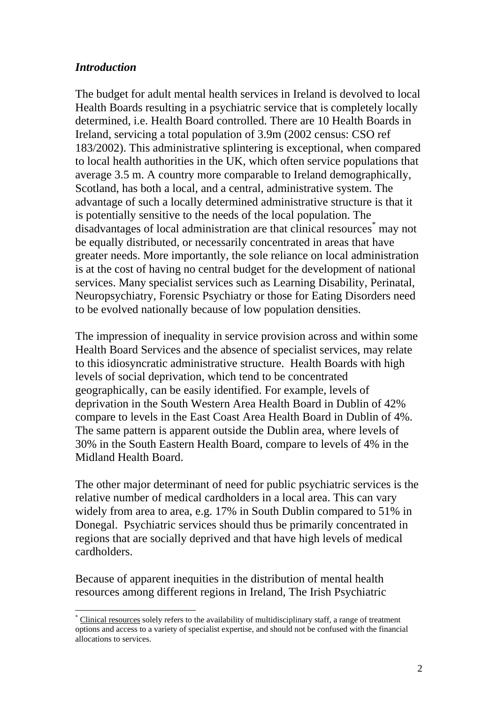# *Introduction*

1

The budget for adult mental health services in Ireland is devolved to local Health Boards resulting in a psychiatric service that is completely locally determined, i.e. Health Board controlled. There are 10 Health Boards in Ireland, servicing a total population of 3.9m (2002 census: CSO ref 183/2002). This administrative splintering is exceptional, when compared to local health authorities in the UK, which often service populations that average 3.5 m. A country more comparable to Ireland demographically, Scotland, has both a local, and a central, administrative system. The advantage of such a locally determined administrative structure is that it is potentially sensitive to the needs of the local population. The disadvantages of local administration are that clinical resources\* may not be equally distributed, or necessarily concentrated in areas that have greater needs. More importantly, the sole reliance on local administration is at the cost of having no central budget for the development of national services. Many specialist services such as Learning Disability, Perinatal, Neuropsychiatry, Forensic Psychiatry or those for Eating Disorders need to be evolved nationally because of low population densities.

The impression of inequality in service provision across and within some Health Board Services and the absence of specialist services, may relate to this idiosyncratic administrative structure. Health Boards with high levels of social deprivation, which tend to be concentrated geographically, can be easily identified. For example, levels of deprivation in the South Western Area Health Board in Dublin of 42% compare to levels in the East Coast Area Health Board in Dublin of 4%. The same pattern is apparent outside the Dublin area, where levels of 30% in the South Eastern Health Board, compare to levels of 4% in the Midland Health Board.

The other major determinant of need for public psychiatric services is the relative number of medical cardholders in a local area. This can vary widely from area to area, e.g. 17% in South Dublin compared to 51% in Donegal. Psychiatric services should thus be primarily concentrated in regions that are socially deprived and that have high levels of medical cardholders.

Because of apparent inequities in the distribution of mental health resources among different regions in Ireland, The Irish Psychiatric

<sup>\*</sup> Clinical resources solely refers to the availability of multidisciplinary staff, a range of treatment options and access to a variety of specialist expertise, and should not be confused with the financial allocations to services.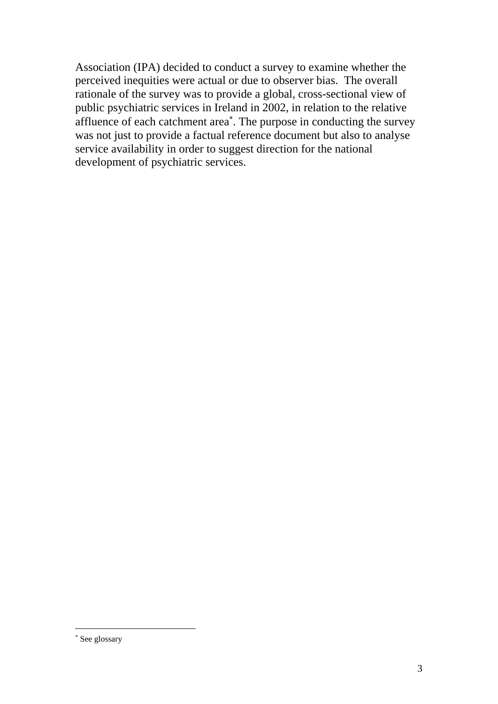Association (IPA) decided to conduct a survey to examine whether the perceived inequities were actual or due to observer bias. The overall rationale of the survey was to provide a global, cross-sectional view of public psychiatric services in Ireland in 2002, in relation to the relative affluence of each catchment area<sup>\*</sup>. The purpose in conducting the survey was not just to provide a factual reference document but also to analyse service availability in order to suggest direction for the national development of psychiatric services.

1

<sup>∗</sup> See glossary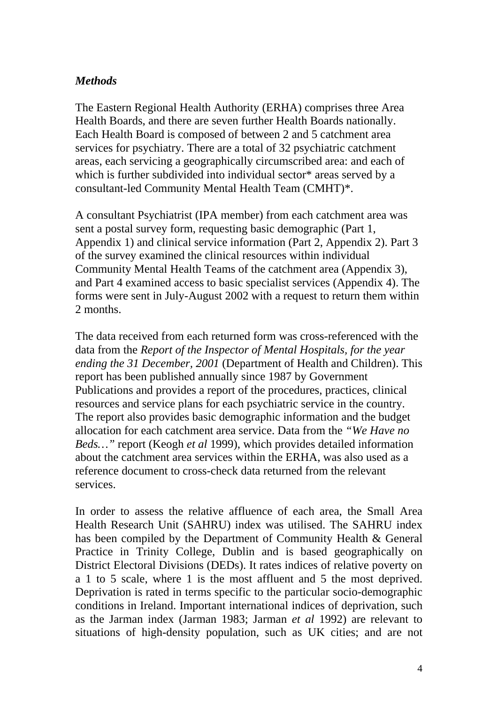# *Methods*

The Eastern Regional Health Authority (ERHA) comprises three Area Health Boards, and there are seven further Health Boards nationally. Each Health Board is composed of between 2 and 5 catchment area services for psychiatry. There are a total of 32 psychiatric catchment areas, each servicing a geographically circumscribed area: and each of which is further subdivided into individual sector\* areas served by a consultant-led Community Mental Health Team (CMHT)\*.

A consultant Psychiatrist (IPA member) from each catchment area was sent a postal survey form, requesting basic demographic (Part 1, Appendix 1) and clinical service information (Part 2, Appendix 2). Part 3 of the survey examined the clinical resources within individual Community Mental Health Teams of the catchment area (Appendix 3), and Part 4 examined access to basic specialist services (Appendix 4). The forms were sent in July-August 2002 with a request to return them within 2 months.

The data received from each returned form was cross-referenced with the data from the *Report of the Inspector of Mental Hospitals, for the year ending the 31 December, 2001* (Department of Health and Children). This report has been published annually since 1987 by Government Publications and provides a report of the procedures, practices, clinical resources and service plans for each psychiatric service in the country. The report also provides basic demographic information and the budget allocation for each catchment area service. Data from the *"We Have no Beds…"* report (Keogh *et al* 1999), which provides detailed information about the catchment area services within the ERHA, was also used as a reference document to cross-check data returned from the relevant services.

In order to assess the relative affluence of each area, the Small Area Health Research Unit (SAHRU) index was utilised. The SAHRU index has been compiled by the Department of Community Health & General Practice in Trinity College, Dublin and is based geographically on District Electoral Divisions (DEDs). It rates indices of relative poverty on a 1 to 5 scale, where 1 is the most affluent and 5 the most deprived. Deprivation is rated in terms specific to the particular socio-demographic conditions in Ireland. Important international indices of deprivation, such as the Jarman index (Jarman 1983; Jarman *et al* 1992) are relevant to situations of high-density population, such as UK cities; and are not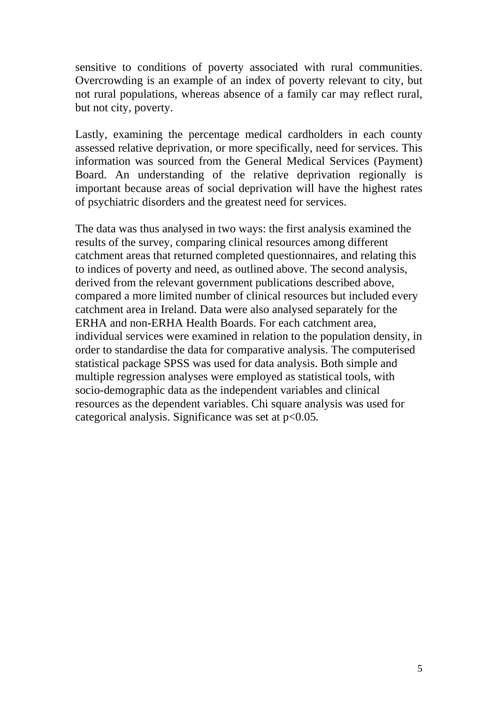sensitive to conditions of poverty associated with rural communities. Overcrowding is an example of an index of poverty relevant to city, but not rural populations, whereas absence of a family car may reflect rural, but not city, poverty.

Lastly, examining the percentage medical cardholders in each county assessed relative deprivation, or more specifically, need for services. This information was sourced from the General Medical Services (Payment) Board. An understanding of the relative deprivation regionally is important because areas of social deprivation will have the highest rates of psychiatric disorders and the greatest need for services.

The data was thus analysed in two ways: the first analysis examined the results of the survey, comparing clinical resources among different catchment areas that returned completed questionnaires, and relating this to indices of poverty and need, as outlined above. The second analysis, derived from the relevant government publications described above, compared a more limited number of clinical resources but included every catchment area in Ireland. Data were also analysed separately for the ERHA and non-ERHA Health Boards. For each catchment area, individual services were examined in relation to the population density, in order to standardise the data for comparative analysis. The computerised statistical package SPSS was used for data analysis. Both simple and multiple regression analyses were employed as statistical tools, with socio-demographic data as the independent variables and clinical resources as the dependent variables. Chi square analysis was used for categorical analysis. Significance was set at  $p<0.05$ .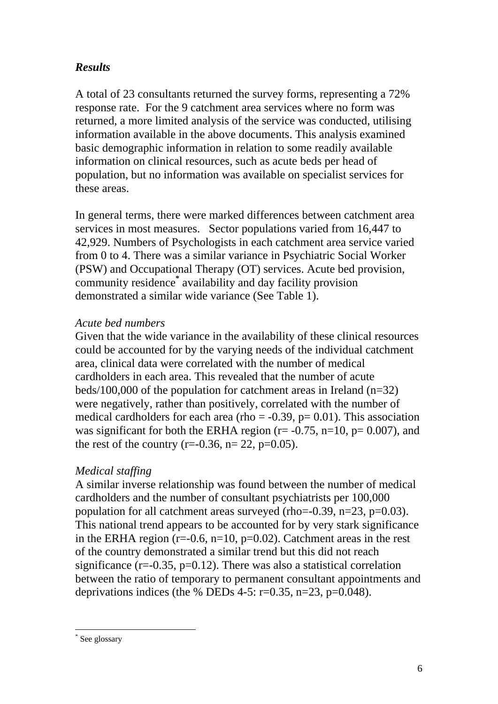# *Results*

A total of 23 consultants returned the survey forms, representing a 72% response rate. For the 9 catchment area services where no form was returned, a more limited analysis of the service was conducted, utilising information available in the above documents. This analysis examined basic demographic information in relation to some readily available information on clinical resources, such as acute beds per head of population, but no information was available on specialist services for these areas.

In general terms, there were marked differences between catchment area services in most measures. Sector populations varied from 16,447 to 42,929. Numbers of Psychologists in each catchment area service varied from 0 to 4. There was a similar variance in Psychiatric Social Worker (PSW) and Occupational Therapy (OT) services. Acute bed provision, community residence**\*** availability and day facility provision demonstrated a similar wide variance (See Table 1).

# *Acute bed numbers*

Given that the wide variance in the availability of these clinical resources could be accounted for by the varying needs of the individual catchment area, clinical data were correlated with the number of medical cardholders in each area. This revealed that the number of acute beds/100,000 of the population for catchment areas in Ireland  $(n=32)$ were negatively, rather than positively, correlated with the number of medical cardholders for each area (rho  $= -0.39$ ,  $p = 0.01$ ). This association was significant for both the ERHA region ( $r = -0.75$ ,  $n=10$ ,  $p = 0.007$ ), and the rest of the country (r=-0.36, n= 22, p=0.05).

# *Medical staffing*

A similar inverse relationship was found between the number of medical cardholders and the number of consultant psychiatrists per 100,000 population for all catchment areas surveyed (rho= $-0.39$ , n= $23$ , p= $0.03$ ). This national trend appears to be accounted for by very stark significance in the ERHA region ( $r=0.6$ ,  $n=10$ ,  $p=0.02$ ). Catchment areas in the rest of the country demonstrated a similar trend but this did not reach significance  $(r=0.35, p=0.12)$ . There was also a statistical correlation between the ratio of temporary to permanent consultant appointments and deprivations indices (the % DEDs 4-5:  $r=0.35$ ,  $n=23$ ,  $p=0.048$ ).

1

<sup>\*</sup> See glossary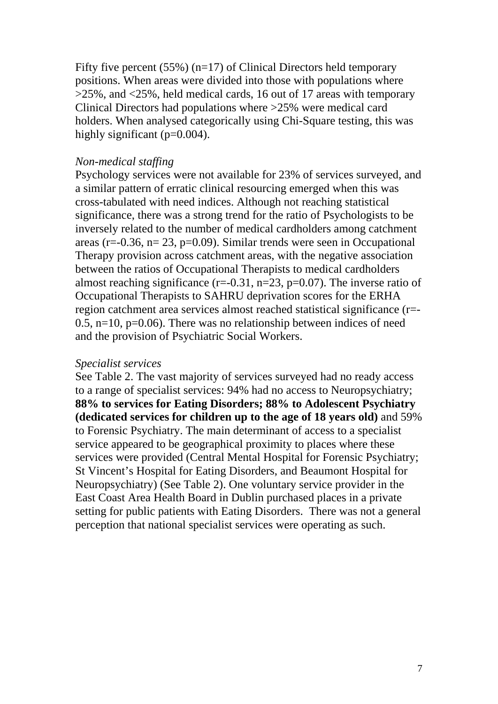Fifty five percent (55%) (n=17) of Clinical Directors held temporary positions. When areas were divided into those with populations where >25%, and <25%, held medical cards, 16 out of 17 areas with temporary Clinical Directors had populations where >25% were medical card holders. When analysed categorically using Chi-Square testing, this was highly significant (p=0.004).

### *Non-medical staffing*

Psychology services were not available for 23% of services surveyed, and a similar pattern of erratic clinical resourcing emerged when this was cross-tabulated with need indices. Although not reaching statistical significance, there was a strong trend for the ratio of Psychologists to be inversely related to the number of medical cardholders among catchment areas ( $r=-0.36$ ,  $n=23$ ,  $p=0.09$ ). Similar trends were seen in Occupational Therapy provision across catchment areas, with the negative association between the ratios of Occupational Therapists to medical cardholders almost reaching significance  $(r=-0.31, n=23, p=0.07)$ . The inverse ratio of Occupational Therapists to SAHRU deprivation scores for the ERHA region catchment area services almost reached statistical significance (r=- 0.5,  $n=10$ ,  $p=0.06$ ). There was no relationship between indices of need and the provision of Psychiatric Social Workers.

## *Specialist services*

See Table 2. The vast majority of services surveyed had no ready access to a range of specialist services: 94% had no access to Neuropsychiatry; **88% to services for Eating Disorders; 88% to Adolescent Psychiatry (dedicated services for children up to the age of 18 years old)** and 59% to Forensic Psychiatry. The main determinant of access to a specialist service appeared to be geographical proximity to places where these services were provided (Central Mental Hospital for Forensic Psychiatry; St Vincent's Hospital for Eating Disorders, and Beaumont Hospital for Neuropsychiatry) (See Table 2). One voluntary service provider in the East Coast Area Health Board in Dublin purchased places in a private setting for public patients with Eating Disorders. There was not a general perception that national specialist services were operating as such.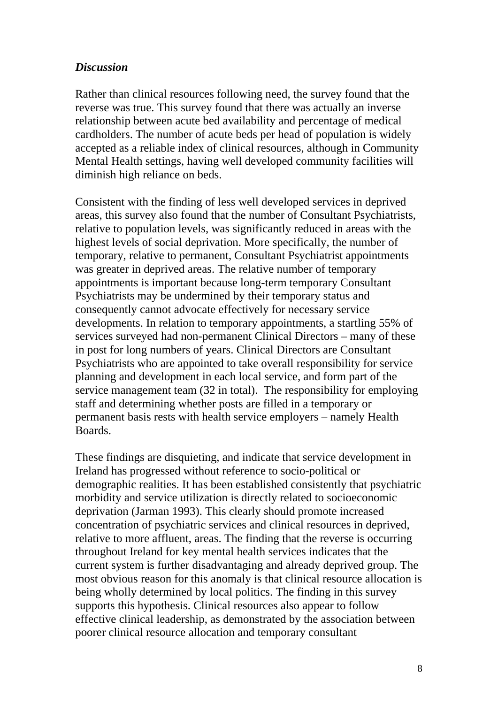## *Discussion*

Rather than clinical resources following need, the survey found that the reverse was true. This survey found that there was actually an inverse relationship between acute bed availability and percentage of medical cardholders. The number of acute beds per head of population is widely accepted as a reliable index of clinical resources, although in Community Mental Health settings, having well developed community facilities will diminish high reliance on beds.

Consistent with the finding of less well developed services in deprived areas, this survey also found that the number of Consultant Psychiatrists, relative to population levels, was significantly reduced in areas with the highest levels of social deprivation. More specifically, the number of temporary, relative to permanent, Consultant Psychiatrist appointments was greater in deprived areas. The relative number of temporary appointments is important because long-term temporary Consultant Psychiatrists may be undermined by their temporary status and consequently cannot advocate effectively for necessary service developments. In relation to temporary appointments, a startling 55% of services surveyed had non-permanent Clinical Directors – many of these in post for long numbers of years. Clinical Directors are Consultant Psychiatrists who are appointed to take overall responsibility for service planning and development in each local service, and form part of the service management team (32 in total). The responsibility for employing staff and determining whether posts are filled in a temporary or permanent basis rests with health service employers – namely Health Boards.

These findings are disquieting, and indicate that service development in Ireland has progressed without reference to socio-political or demographic realities. It has been established consistently that psychiatric morbidity and service utilization is directly related to socioeconomic deprivation (Jarman 1993). This clearly should promote increased concentration of psychiatric services and clinical resources in deprived, relative to more affluent, areas. The finding that the reverse is occurring throughout Ireland for key mental health services indicates that the current system is further disadvantaging and already deprived group. The most obvious reason for this anomaly is that clinical resource allocation is being wholly determined by local politics. The finding in this survey supports this hypothesis. Clinical resources also appear to follow effective clinical leadership, as demonstrated by the association between poorer clinical resource allocation and temporary consultant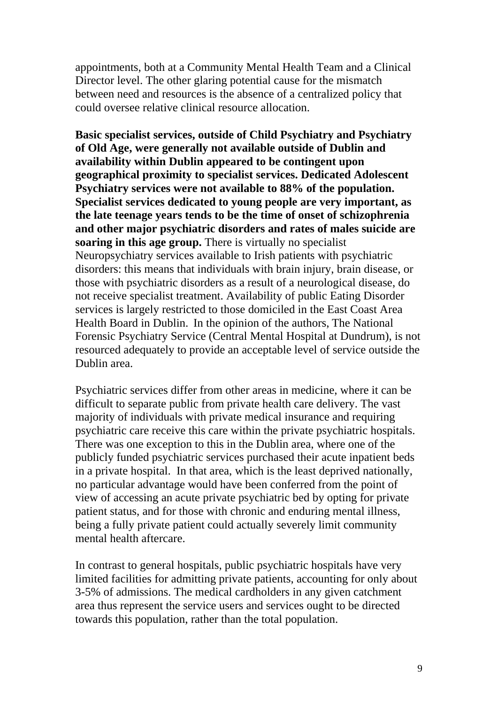appointments, both at a Community Mental Health Team and a Clinical Director level. The other glaring potential cause for the mismatch between need and resources is the absence of a centralized policy that could oversee relative clinical resource allocation.

**Basic specialist services, outside of Child Psychiatry and Psychiatry of Old Age, were generally not available outside of Dublin and availability within Dublin appeared to be contingent upon geographical proximity to specialist services. Dedicated Adolescent Psychiatry services were not available to 88% of the population. Specialist services dedicated to young people are very important, as the late teenage years tends to be the time of onset of schizophrenia and other major psychiatric disorders and rates of males suicide are soaring in this age group.** There is virtually no specialist Neuropsychiatry services available to Irish patients with psychiatric disorders: this means that individuals with brain injury, brain disease, or those with psychiatric disorders as a result of a neurological disease, do not receive specialist treatment. Availability of public Eating Disorder services is largely restricted to those domiciled in the East Coast Area Health Board in Dublin. In the opinion of the authors, The National Forensic Psychiatry Service (Central Mental Hospital at Dundrum), is not resourced adequately to provide an acceptable level of service outside the Dublin area.

Psychiatric services differ from other areas in medicine, where it can be difficult to separate public from private health care delivery. The vast majority of individuals with private medical insurance and requiring psychiatric care receive this care within the private psychiatric hospitals. There was one exception to this in the Dublin area, where one of the publicly funded psychiatric services purchased their acute inpatient beds in a private hospital. In that area, which is the least deprived nationally, no particular advantage would have been conferred from the point of view of accessing an acute private psychiatric bed by opting for private patient status, and for those with chronic and enduring mental illness, being a fully private patient could actually severely limit community mental health aftercare.

In contrast to general hospitals, public psychiatric hospitals have very limited facilities for admitting private patients, accounting for only about 3-5% of admissions. The medical cardholders in any given catchment area thus represent the service users and services ought to be directed towards this population, rather than the total population.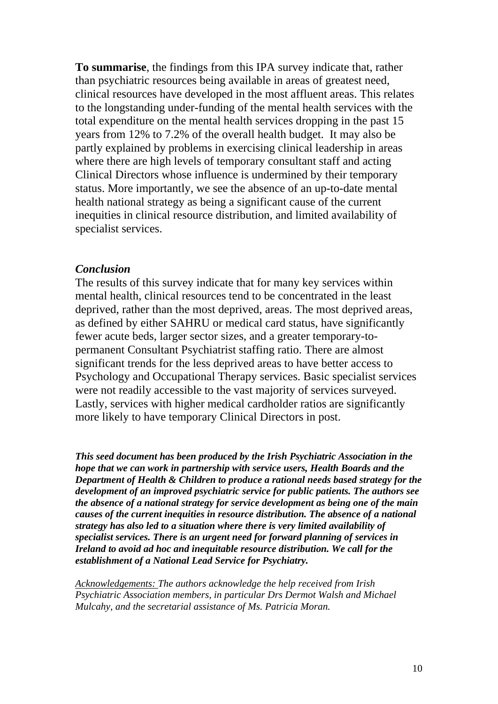**To summarise**, the findings from this IPA survey indicate that, rather than psychiatric resources being available in areas of greatest need, clinical resources have developed in the most affluent areas. This relates to the longstanding under-funding of the mental health services with the total expenditure on the mental health services dropping in the past 15 years from 12% to 7.2% of the overall health budget. It may also be partly explained by problems in exercising clinical leadership in areas where there are high levels of temporary consultant staff and acting Clinical Directors whose influence is undermined by their temporary status. More importantly, we see the absence of an up-to-date mental health national strategy as being a significant cause of the current inequities in clinical resource distribution, and limited availability of specialist services.

### *Conclusion*

The results of this survey indicate that for many key services within mental health, clinical resources tend to be concentrated in the least deprived, rather than the most deprived, areas. The most deprived areas, as defined by either SAHRU or medical card status, have significantly fewer acute beds, larger sector sizes, and a greater temporary-topermanent Consultant Psychiatrist staffing ratio. There are almost significant trends for the less deprived areas to have better access to Psychology and Occupational Therapy services. Basic specialist services were not readily accessible to the vast majority of services surveyed. Lastly, services with higher medical cardholder ratios are significantly more likely to have temporary Clinical Directors in post.

*This seed document has been produced by the Irish Psychiatric Association in the hope that we can work in partnership with service users, Health Boards and the Department of Health & Children to produce a rational needs based strategy for the development of an improved psychiatric service for public patients. The authors see the absence of a national strategy for service development as being one of the main causes of the current inequities in resource distribution. The absence of a national strategy has also led to a situation where there is very limited availability of specialist services. There is an urgent need for forward planning of services in Ireland to avoid ad hoc and inequitable resource distribution. We call for the establishment of a National Lead Service for Psychiatry.* 

*Acknowledgements: The authors acknowledge the help received from Irish Psychiatric Association members, in particular Drs Dermot Walsh and Michael Mulcahy, and the secretarial assistance of Ms. Patricia Moran.*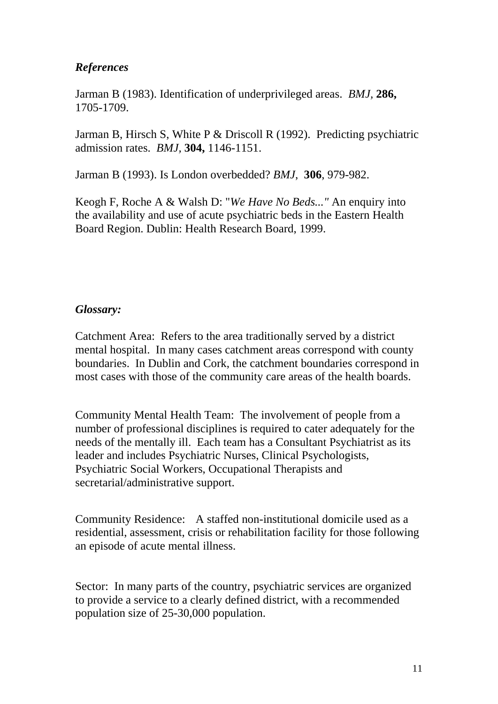# *References*

Jarman B (1983). Identification of underprivileged areas. *BMJ,* **286,**  1705-1709.

Jarman B, Hirsch S, White P & Driscoll R (1992). Predicting psychiatric admission rates. *BMJ,* **304,** 1146-1151.

Jarman B (1993). Is London overbedded? *BMJ*, **306**, 979-982.

Keogh F, Roche A & Walsh D: "*We Have No Beds..."* An enquiry into the availability and use of acute psychiatric beds in the Eastern Health Board Region. Dublin: Health Research Board, 1999.

# *Glossary:*

Catchment Area: Refers to the area traditionally served by a district mental hospital. In many cases catchment areas correspond with county boundaries. In Dublin and Cork, the catchment boundaries correspond in most cases with those of the community care areas of the health boards.

Community Mental Health Team: The involvement of people from a number of professional disciplines is required to cater adequately for the needs of the mentally ill. Each team has a Consultant Psychiatrist as its leader and includes Psychiatric Nurses, Clinical Psychologists, Psychiatric Social Workers, Occupational Therapists and secretarial/administrative support.

Community Residence: A staffed non-institutional domicile used as a residential, assessment, crisis or rehabilitation facility for those following an episode of acute mental illness.

Sector: In many parts of the country, psychiatric services are organized to provide a service to a clearly defined district, with a recommended population size of 25-30,000 population.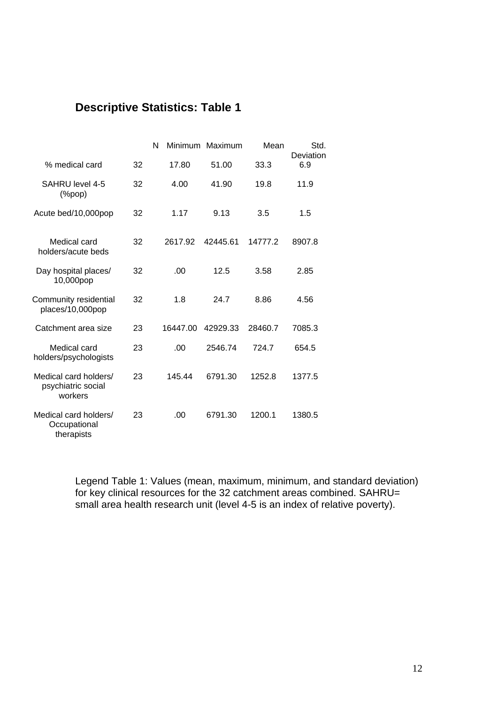# **Descriptive Statistics: Table 1**

|                                                        |    | N<br><b>Minimum</b> | Maximum  | Mean    | Std.<br>Deviation |
|--------------------------------------------------------|----|---------------------|----------|---------|-------------------|
| % medical card                                         | 32 | 17.80               | 51.00    | 33.3    | 6.9               |
| SAHRU level 4-5<br>$(\%pop)$                           | 32 | 4.00                | 41.90    | 19.8    | 11.9              |
| Acute bed/10,000pop                                    | 32 | 1.17                | 9.13     | 3.5     | 1.5               |
| Medical card<br>holders/acute beds                     | 32 | 2617.92             | 42445.61 | 14777.2 | 8907.8            |
| Day hospital places/<br>10,000pop                      | 32 | .00                 | 12.5     | 3.58    | 2.85              |
| Community residential<br>places/10,000pop              | 32 | 1.8                 | 24.7     | 8.86    | 4.56              |
| Catchment area size                                    | 23 | 16447.00            | 42929.33 | 28460.7 | 7085.3            |
| Medical card<br>holders/psychologists                  | 23 | .00                 | 2546.74  | 724.7   | 654.5             |
| Medical card holders/<br>psychiatric social<br>workers | 23 | 145.44              | 6791.30  | 1252.8  | 1377.5            |
| Medical card holders/<br>Occupational<br>therapists    | 23 | .00.                | 6791.30  | 1200.1  | 1380.5            |

Legend Table 1: Values (mean, maximum, minimum, and standard deviation) for key clinical resources for the 32 catchment areas combined. SAHRU= small area health research unit (level 4-5 is an index of relative poverty).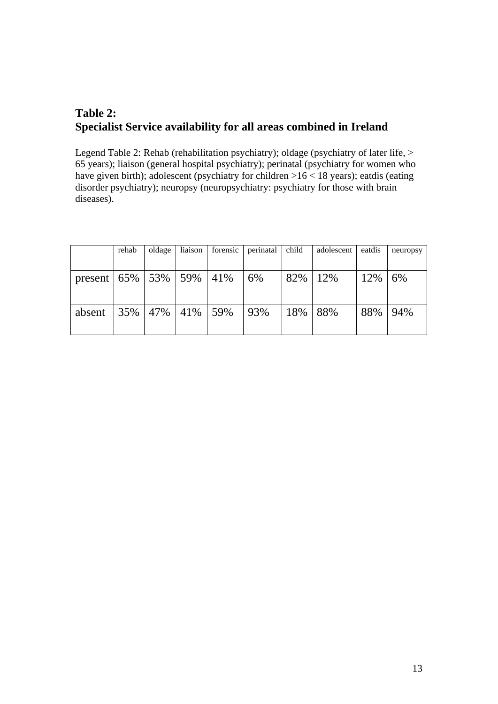# **Table 2: Specialist Service availability for all areas combined in Ireland**

Legend Table 2: Rehab (rehabilitation psychiatry); oldage (psychiatry of later life, > 65 years); liaison (general hospital psychiatry); perinatal (psychiatry for women who have given birth); adolescent (psychiatry for children  $>16 < 18$  years); eatdis (eating disorder psychiatry); neuropsy (neuropsychiatry: psychiatry for those with brain diseases).

|                                    | rehab   | oldage | liaison | forensic | perinatal | child | adolescent | eatdis | neuropsy |
|------------------------------------|---------|--------|---------|----------|-----------|-------|------------|--------|----------|
|                                    |         |        |         |          |           |       |            |        |          |
| present   $65\%$   $53\%$   $59\%$ |         |        |         | 41%      | 6%        | 82%   | 12%        | 12%    | 6%       |
|                                    |         |        |         |          |           |       |            |        |          |
|                                    |         |        |         |          |           |       |            |        |          |
| absent                             | 35% 47% |        | 41%     | 59%      | 93%       | 18%   | 88%        | 88%    | 94%      |
|                                    |         |        |         |          |           |       |            |        |          |
|                                    |         |        |         |          |           |       |            |        |          |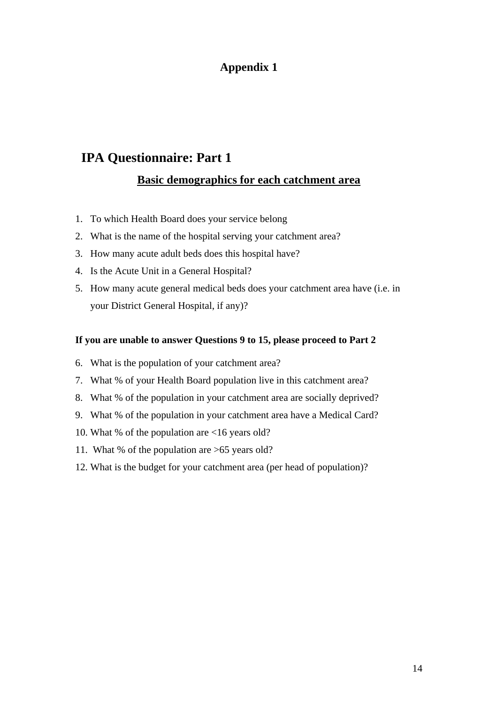# **IPA Questionnaire: Part 1**

# **Basic demographics for each catchment area**

- 1. To which Health Board does your service belong
- 2. What is the name of the hospital serving your catchment area?
- 3. How many acute adult beds does this hospital have?
- 4. Is the Acute Unit in a General Hospital?
- 5. How many acute general medical beds does your catchment area have (i.e. in your District General Hospital, if any)?

#### **If you are unable to answer Questions 9 to 15, please proceed to Part 2**

- 6. What is the population of your catchment area?
- 7. What % of your Health Board population live in this catchment area?
- 8. What % of the population in your catchment area are socially deprived?
- 9. What % of the population in your catchment area have a Medical Card?
- 10. What % of the population are <16 years old?
- 11. What % of the population are >65 years old?
- 12. What is the budget for your catchment area (per head of population)?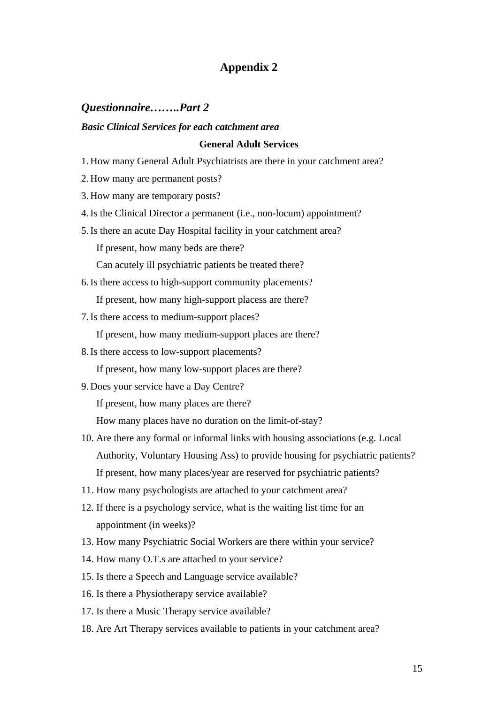## *Questionnaire……..Part 2*

#### *Basic Clinical Services for each catchment area*

#### **General Adult Services**

- 1. How many General Adult Psychiatrists are there in your catchment area?
- 2. How many are permanent posts?
- 3. How many are temporary posts?
- 4.Is the Clinical Director a permanent (i.e., non-locum) appointment?
- 5.Is there an acute Day Hospital facility in your catchment area? If present, how many beds are there? Can acutely ill psychiatric patients be treated there?
- 6.Is there access to high-support community placements?
	- If present, how many high-support placess are there?
- 7.Is there access to medium-support places?

If present, how many medium-support places are there?

- 8.Is there access to low-support placements?
	- If present, how many low-support places are there?
- 9. Does your service have a Day Centre?

If present, how many places are there?

How many places have no duration on the limit-of-stay?

- 10. Are there any formal or informal links with housing associations (e.g. Local Authority, Voluntary Housing Ass) to provide housing for psychiatric patients? If present, how many places/year are reserved for psychiatric patients?
- 11. How many psychologists are attached to your catchment area?
- 12. If there is a psychology service, what is the waiting list time for an appointment (in weeks)?
- 13. How many Psychiatric Social Workers are there within your service?
- 14. How many O.T.s are attached to your service?
- 15. Is there a Speech and Language service available?
- 16. Is there a Physiotherapy service available?
- 17. Is there a Music Therapy service available?
- 18. Are Art Therapy services available to patients in your catchment area?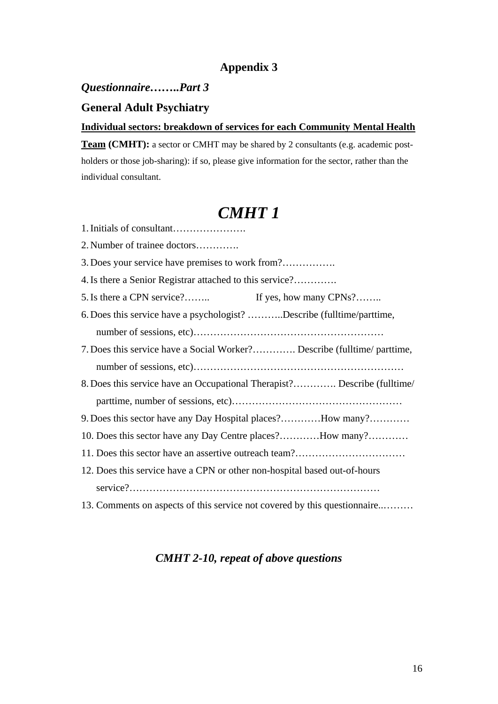## *Questionnaire……..Part 3*

# **General Adult Psychiatry**

#### **Individual sectors: breakdown of services for each Community Mental Health**

**Team (CMHT):** a sector or CMHT may be shared by 2 consultants (e.g. academic postholders or those job-sharing): if so, please give information for the sector, rather than the individual consultant.

# *CMHT 1*

| 2. Number of trainee doctors                                              |
|---------------------------------------------------------------------------|
|                                                                           |
| 4. Is there a Senior Registrar attached to this service?                  |
| 5. Is there a CPN service?<br>If yes, how many CPNs?                      |
| 6. Does this service have a psychologist? Describe (fulltime/parttime,    |
|                                                                           |
| 7. Does this service have a Social Worker? Describe (fulltime/ parttime,  |
|                                                                           |
| 8. Does this service have an Occupational Therapist? Describe (fulltime/  |
|                                                                           |
| 9. Does this sector have any Day Hospital places?How many?                |
| 10. Does this sector have any Day Centre places?How many?                 |
|                                                                           |
| 12. Does this service have a CPN or other non-hospital based out-of-hours |
|                                                                           |
| 13. Comments on aspects of this service not covered by this questionnaire |

# *CMHT 2-10, repeat of above questions*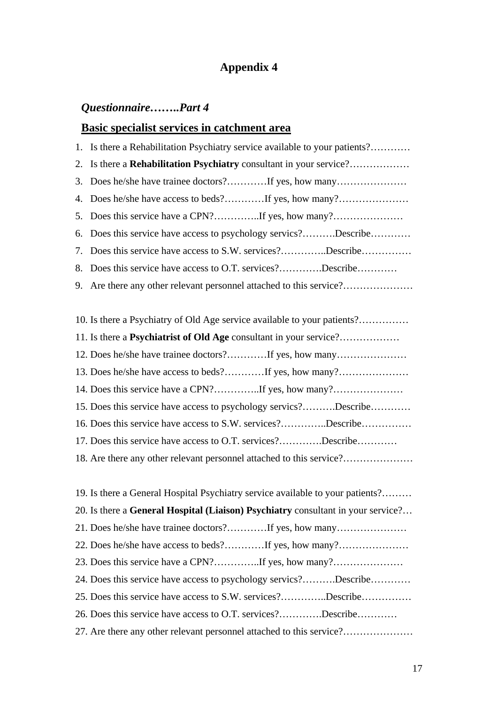# *Questionnaire……..Part 4*

### **Basic specialist services in catchment area**

|    | 1. Is there a Rehabilitation Psychiatry service available to your patients? |
|----|-----------------------------------------------------------------------------|
| 2. | Is there a Rehabilitation Psychiatry consultant in your service?            |
| 3. |                                                                             |
| 4. |                                                                             |
| 5. |                                                                             |
| 6. | Does this service have access to psychology servics?Describe                |
| 7. | Does this service have access to S.W. services?Describe                     |
| 8. | Does this service have access to O.T. services?Describe                     |
|    | 9. Are there any other relevant personnel attached to this service?         |
|    |                                                                             |
|    | 10. Is there a Psychiatry of Old Age service available to your patients?    |
|    |                                                                             |
|    | 12. Does he/she have trainee doctors?If yes, how many                       |
|    |                                                                             |
|    | 14. Does this service have a CPN?If yes, how many?                          |
|    | 15. Does this service have access to psychology servics?Describe            |
|    | 16. Does this service have access to S.W. services?Describe                 |
|    | 17. Does this service have access to O.T. services?Describe                 |
|    | 18. Are there any other relevant personnel attached to this service?        |

19. Is there a General Hospital Psychiatry service available to your patients?……… 20. Is there a **General Hospital (Liaison) Psychiatry** consultant in your service?… 21. Does he/she have trainee doctors?…………If yes, how many………………… 22. Does he/she have access to beds?…………If yes, how many?………………… 23. Does this service have a CPN?…………..If yes, how many?………………… 24. Does this service have access to psychology servics?……….Describe………… 25. Does this service have access to S.W. services?…………..Describe…………… 26. Does this service have access to O.T. services?………….Describe………… 27. Are there any other relevant personnel attached to this service?…………………